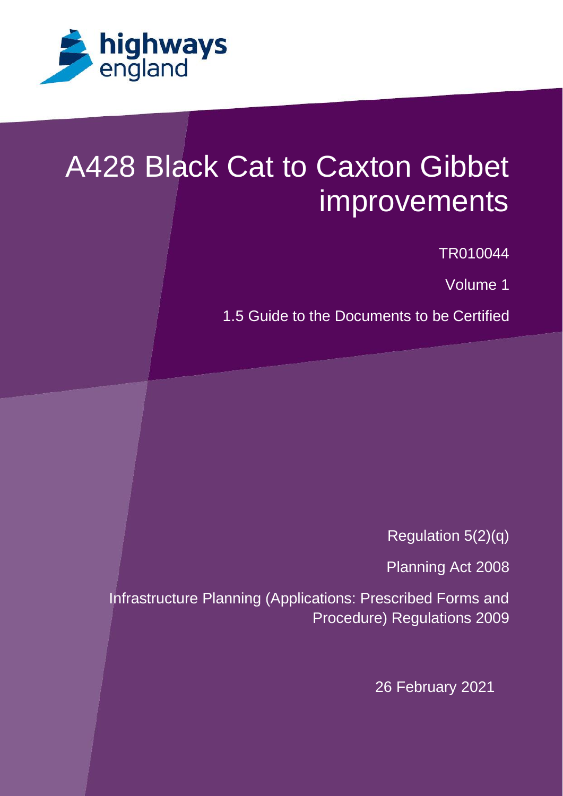

# A428 Black Cat to Caxton Gibbet improvements

TR010044

Volume 1

1.5 Guide to the Documents to be Certified

Regulation 5(2)(q)

Planning Act 2008

Infrastructure Planning (Applications: Prescribed Forms and Procedure) Regulations 2009

26 February 2021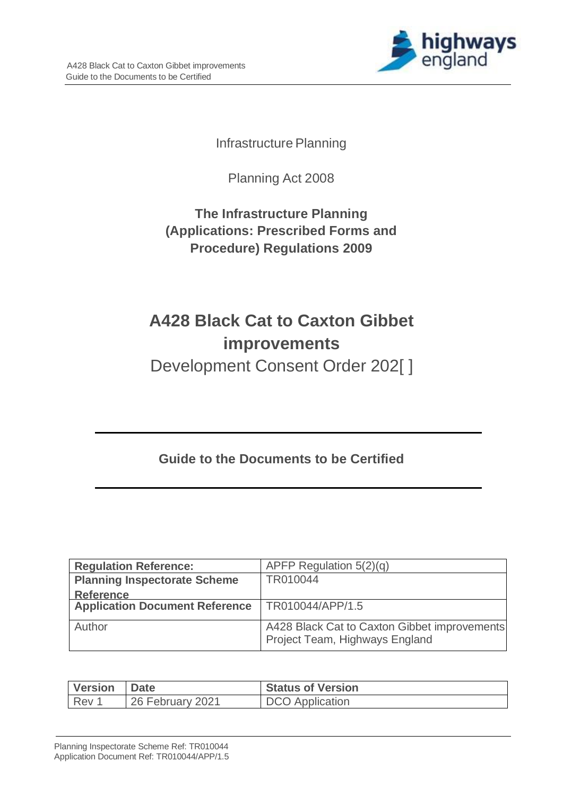

Infrastructure Planning

Planning Act 2008

**The Infrastructure Planning (Applications: Prescribed Forms and Procedure) Regulations 2009**

## **A428 Black Cat to Caxton Gibbet improvements**

Development Consent Order 202[ ]

#### **Guide to the Documents to be Certified**

| <b>Regulation Reference:</b>          | APFP Regulation $5(2)(q)$                    |
|---------------------------------------|----------------------------------------------|
| <b>Planning Inspectorate Scheme</b>   | TR010044                                     |
| <b>Reference</b>                      |                                              |
| <b>Application Document Reference</b> | TR010044/APP/1.5                             |
| Author                                | A428 Black Cat to Caxton Gibbet improvements |
|                                       | Project Team, Highways England               |

| <b>Version</b> | <b>Date</b>      | <b>Status of Version</b> |
|----------------|------------------|--------------------------|
| Rev 1          | 26 February 2021 | <b>DCO</b> Application   |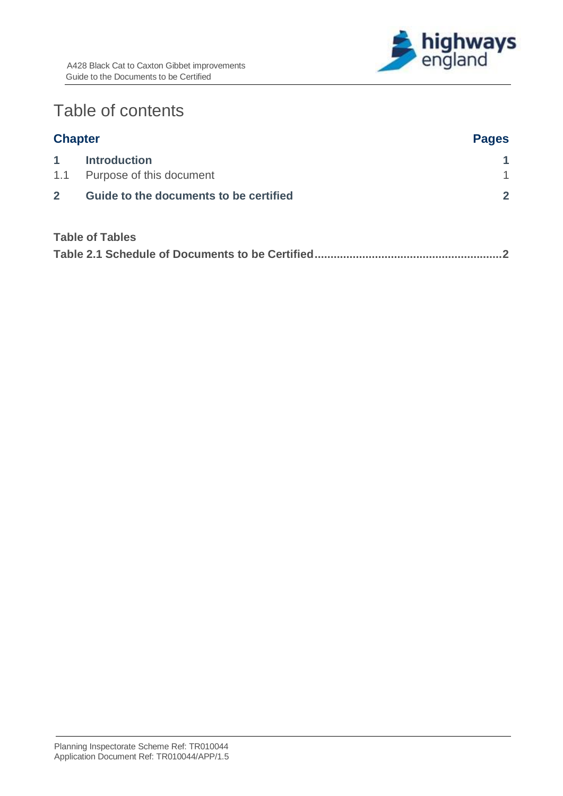

## Table of contents

| <b>Chapter</b> |                                                     | <b>Pages</b> |
|----------------|-----------------------------------------------------|--------------|
| $\mathbf{1}$   | <b>Introduction</b><br>1.1 Purpose of this document | 1<br>1       |
| 2 <sup>1</sup> | Guide to the documents to be certified              | $\mathbf{2}$ |
|                | <b>Table of Tables</b>                              |              |

| ------------------- |  |  |  |  |
|---------------------|--|--|--|--|
|                     |  |  |  |  |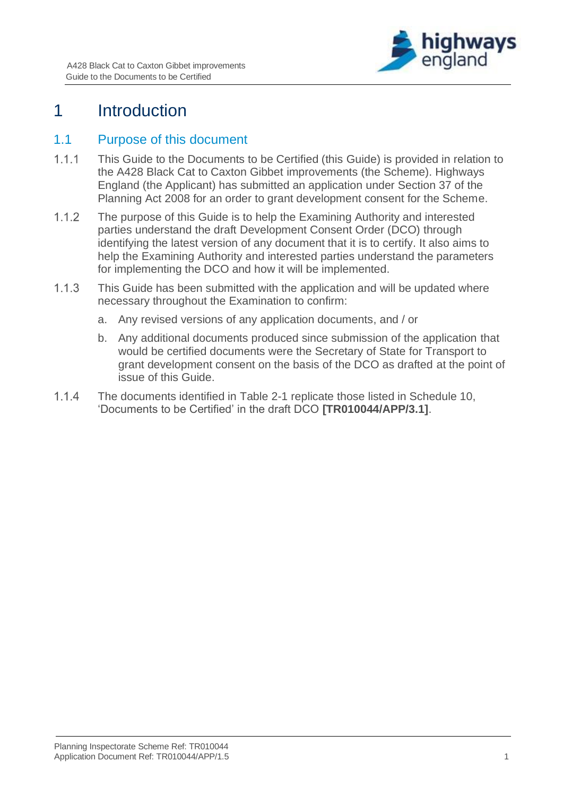

### <span id="page-3-0"></span>1 Introduction

#### <span id="page-3-1"></span>1.1 Purpose of this document

- $1.1.1$ This Guide to the Documents to be Certified (this Guide) is provided in relation to the A428 Black Cat to Caxton Gibbet improvements (the Scheme). Highways England (the Applicant) has submitted an application under Section 37 of the Planning Act 2008 for an order to grant development consent for the Scheme.
- $1.1.2$ The purpose of this Guide is to help the Examining Authority and interested parties understand the draft Development Consent Order (DCO) through identifying the latest version of any document that it is to certify. It also aims to help the Examining Authority and interested parties understand the parameters for implementing the DCO and how it will be implemented.
- $1.1.3$ This Guide has been submitted with the application and will be updated where necessary throughout the Examination to confirm:
	- a. Any revised versions of any application documents, and / or
	- b. Any additional documents produced since submission of the application that would be certified documents were the Secretary of State for Transport to grant development consent on the basis of the DCO as drafted at the point of issue of this Guide.
- $1.1.4$ The documents identified in Table 2-1 replicate those listed in Schedule 10, 'Documents to be Certified' in the draft DCO **[TR010044/APP/3.1]**.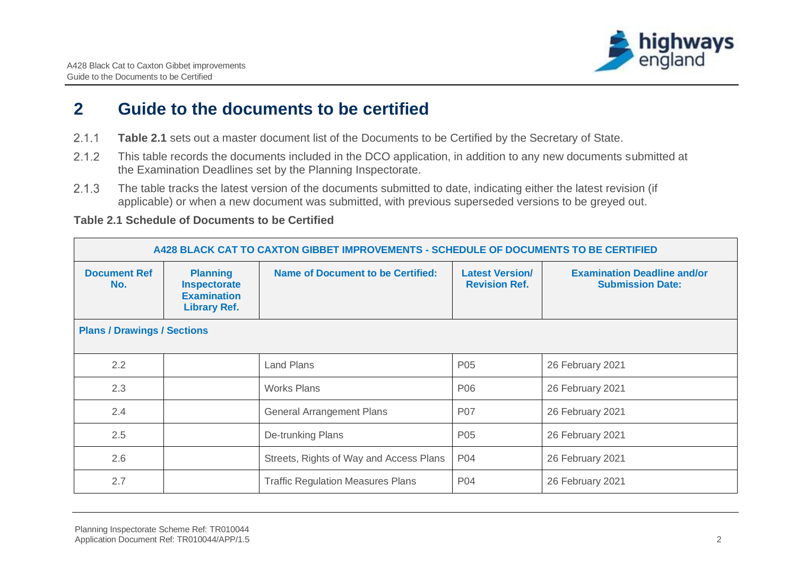

### **2 Guide to the documents to be certified**

- $2.1.1$ **[Table 2.1](#page-4-2)** sets out a master document list of the Documents to be Certified by the Secretary of State.
- $2.1.2$ This table records the documents included in the DCO application, in addition to any new documents submitted at the Examination Deadlines set by the Planning Inspectorate.
- $2.1.3$ The table tracks the latest version of the documents submitted to date, indicating either the latest revision (if applicable) or when a new document was submitted, with previous superseded versions to be greyed out.

#### <span id="page-4-2"></span>**Table 2.1 Schedule of Documents to be Certified**

<span id="page-4-1"></span><span id="page-4-0"></span>

| A428 BLACK CAT TO CAXTON GIBBET IMPROVEMENTS - SCHEDULE OF DOCUMENTS TO BE CERTIFIED |                                                                                     |                                          |                                                |                                                               |  |
|--------------------------------------------------------------------------------------|-------------------------------------------------------------------------------------|------------------------------------------|------------------------------------------------|---------------------------------------------------------------|--|
| <b>Document Ref</b><br>No.                                                           | <b>Planning</b><br><b>Inspectorate</b><br><b>Examination</b><br><b>Library Ref.</b> | <b>Name of Document to be Certified:</b> | <b>Latest Version/</b><br><b>Revision Ref.</b> | <b>Examination Deadline and/or</b><br><b>Submission Date:</b> |  |
| <b>Plans / Drawings / Sections</b>                                                   |                                                                                     |                                          |                                                |                                                               |  |
| 2.2                                                                                  |                                                                                     | <b>Land Plans</b>                        | P <sub>05</sub>                                | 26 February 2021                                              |  |
| 2.3                                                                                  |                                                                                     | <b>Works Plans</b>                       | P06                                            | 26 February 2021                                              |  |
| 2.4                                                                                  |                                                                                     | <b>General Arrangement Plans</b>         | <b>P07</b>                                     | 26 February 2021                                              |  |
| 2.5                                                                                  |                                                                                     | De-trunking Plans                        | P <sub>05</sub>                                | 26 February 2021                                              |  |
| 2.6                                                                                  |                                                                                     | Streets, Rights of Way and Access Plans  | P04                                            | 26 February 2021                                              |  |
| 2.7                                                                                  |                                                                                     | <b>Traffic Regulation Measures Plans</b> | P04                                            | 26 February 2021                                              |  |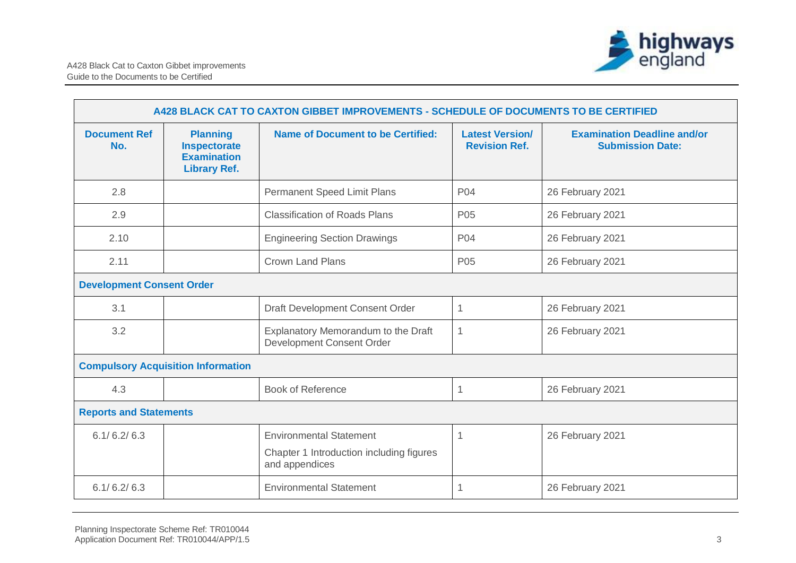

| A428 BLACK CAT TO CAXTON GIBBET IMPROVEMENTS - SCHEDULE OF DOCUMENTS TO BE CERTIFIED |                                                                                     |                                                            |                                                |                                                               |  |
|--------------------------------------------------------------------------------------|-------------------------------------------------------------------------------------|------------------------------------------------------------|------------------------------------------------|---------------------------------------------------------------|--|
| <b>Document Ref</b><br>No.                                                           | <b>Planning</b><br><b>Inspectorate</b><br><b>Examination</b><br><b>Library Ref.</b> | <b>Name of Document to be Certified:</b>                   | <b>Latest Version/</b><br><b>Revision Ref.</b> | <b>Examination Deadline and/or</b><br><b>Submission Date:</b> |  |
| 2.8                                                                                  |                                                                                     | Permanent Speed Limit Plans                                | P04                                            | 26 February 2021                                              |  |
| 2.9                                                                                  |                                                                                     | <b>Classification of Roads Plans</b>                       | P05                                            | 26 February 2021                                              |  |
| 2.10                                                                                 |                                                                                     | <b>Engineering Section Drawings</b>                        | P04                                            | 26 February 2021                                              |  |
| 2.11                                                                                 | <b>Crown Land Plans</b>                                                             |                                                            | P05                                            | 26 February 2021                                              |  |
| <b>Development Consent Order</b>                                                     |                                                                                     |                                                            |                                                |                                                               |  |
| 3.1                                                                                  |                                                                                     | Draft Development Consent Order                            | 1                                              | 26 February 2021                                              |  |
| 3.2<br>Explanatory Memorandum to the Draft<br>Development Consent Order              |                                                                                     | -1                                                         | 26 February 2021                               |                                                               |  |
|                                                                                      | <b>Compulsory Acquisition Information</b>                                           |                                                            |                                                |                                                               |  |
| 4.3                                                                                  |                                                                                     | <b>Book of Reference</b>                                   | 1                                              | 26 February 2021                                              |  |
|                                                                                      | <b>Reports and Statements</b>                                                       |                                                            |                                                |                                                               |  |
| 6.1/6.2/6.3                                                                          |                                                                                     | <b>Environmental Statement</b>                             | 1                                              | 26 February 2021                                              |  |
|                                                                                      |                                                                                     | Chapter 1 Introduction including figures<br>and appendices |                                                |                                                               |  |
| 6.1/6.2/6.3                                                                          |                                                                                     | <b>Environmental Statement</b>                             | 1                                              | 26 February 2021                                              |  |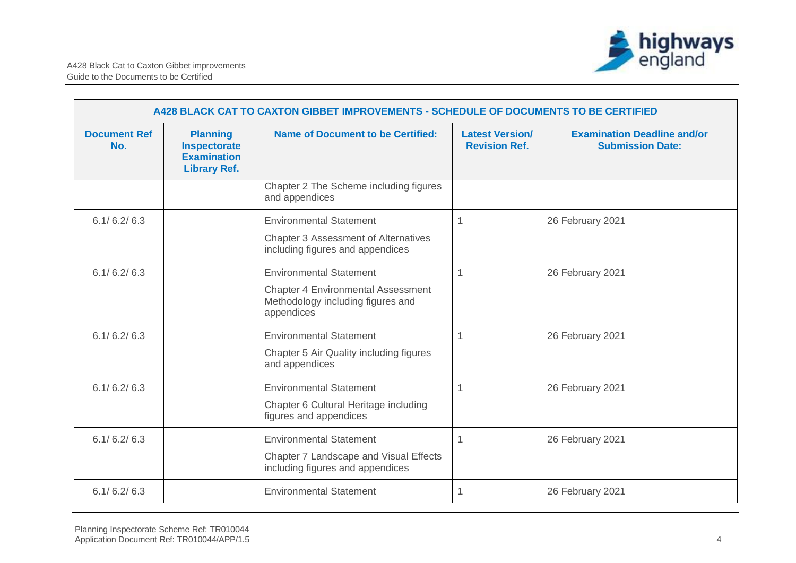

| A428 BLACK CAT TO CAXTON GIBBET IMPROVEMENTS - SCHEDULE OF DOCUMENTS TO BE CERTIFIED |                                                                              |                                                                                                                                |                                                |                                                               |  |
|--------------------------------------------------------------------------------------|------------------------------------------------------------------------------|--------------------------------------------------------------------------------------------------------------------------------|------------------------------------------------|---------------------------------------------------------------|--|
| <b>Document Ref</b><br>No.                                                           | <b>Planning</b><br>Inspectorate<br><b>Examination</b><br><b>Library Ref.</b> | <b>Name of Document to be Certified:</b>                                                                                       | <b>Latest Version/</b><br><b>Revision Ref.</b> | <b>Examination Deadline and/or</b><br><b>Submission Date:</b> |  |
|                                                                                      |                                                                              | Chapter 2 The Scheme including figures<br>and appendices                                                                       |                                                |                                                               |  |
| 6.1/6.2/6.3                                                                          |                                                                              | <b>Environmental Statement</b><br><b>Chapter 3 Assessment of Alternatives</b><br>including figures and appendices              | 1                                              | 26 February 2021                                              |  |
| 6.1/6.2/6.3                                                                          |                                                                              | <b>Environmental Statement</b><br><b>Chapter 4 Environmental Assessment</b><br>Methodology including figures and<br>appendices | $\overline{1}$                                 | 26 February 2021                                              |  |
| 6.1/6.2/6.3                                                                          |                                                                              | <b>Environmental Statement</b><br>Chapter 5 Air Quality including figures<br>and appendices                                    | $\mathbf 1$                                    | 26 February 2021                                              |  |
| 6.1/6.2/6.3                                                                          |                                                                              | <b>Environmental Statement</b><br>Chapter 6 Cultural Heritage including<br>figures and appendices                              | $\overline{1}$                                 | 26 February 2021                                              |  |
| 6.1/6.2/6.3                                                                          |                                                                              | <b>Environmental Statement</b><br>Chapter 7 Landscape and Visual Effects<br>including figures and appendices                   | $\mathbf 1$                                    | 26 February 2021                                              |  |
| 6.1/6.2/6.3                                                                          |                                                                              | <b>Environmental Statement</b>                                                                                                 | 1                                              | 26 February 2021                                              |  |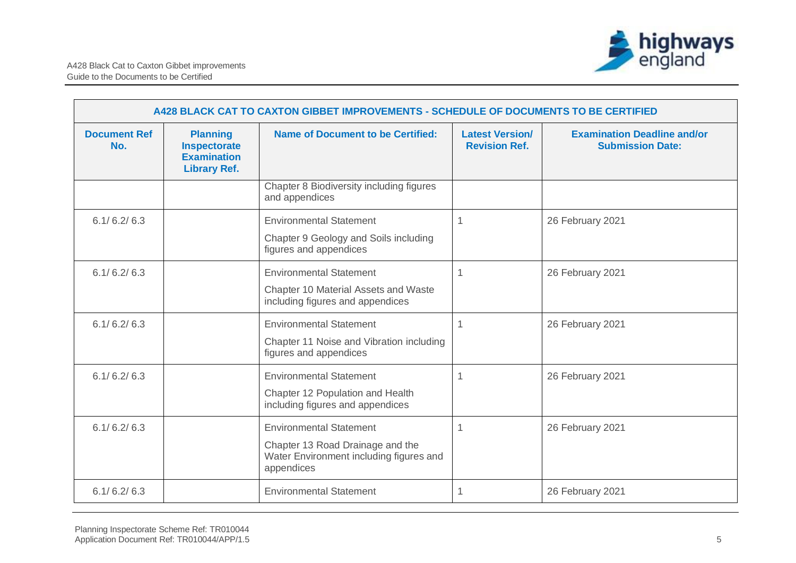

| A428 BLACK CAT TO CAXTON GIBBET IMPROVEMENTS - SCHEDULE OF DOCUMENTS TO BE CERTIFIED |                                                                              |                                                                                                                             |                                                |                                                               |  |
|--------------------------------------------------------------------------------------|------------------------------------------------------------------------------|-----------------------------------------------------------------------------------------------------------------------------|------------------------------------------------|---------------------------------------------------------------|--|
| <b>Document Ref</b><br>No.                                                           | <b>Planning</b><br>Inspectorate<br><b>Examination</b><br><b>Library Ref.</b> | <b>Name of Document to be Certified:</b>                                                                                    | <b>Latest Version/</b><br><b>Revision Ref.</b> | <b>Examination Deadline and/or</b><br><b>Submission Date:</b> |  |
|                                                                                      |                                                                              | Chapter 8 Biodiversity including figures<br>and appendices                                                                  |                                                |                                                               |  |
| 6.1/6.2/6.3                                                                          |                                                                              | <b>Environmental Statement</b><br>Chapter 9 Geology and Soils including<br>figures and appendices                           | -1                                             | 26 February 2021                                              |  |
| 6.1/6.2/6.3                                                                          |                                                                              | <b>Environmental Statement</b><br>Chapter 10 Material Assets and Waste<br>including figures and appendices                  | $\mathbf 1$                                    | 26 February 2021                                              |  |
| 6.1/6.2/6.3                                                                          |                                                                              | <b>Environmental Statement</b><br>Chapter 11 Noise and Vibration including<br>figures and appendices                        | 1                                              | 26 February 2021                                              |  |
| 6.1/6.2/6.3                                                                          |                                                                              | <b>Environmental Statement</b><br>Chapter 12 Population and Health<br>including figures and appendices                      | 1                                              | 26 February 2021                                              |  |
| 6.1/6.2/6.3                                                                          |                                                                              | <b>Environmental Statement</b><br>Chapter 13 Road Drainage and the<br>Water Environment including figures and<br>appendices | 1                                              | 26 February 2021                                              |  |
| 6.1/6.2/6.3                                                                          |                                                                              | <b>Environmental Statement</b>                                                                                              | 1                                              | 26 February 2021                                              |  |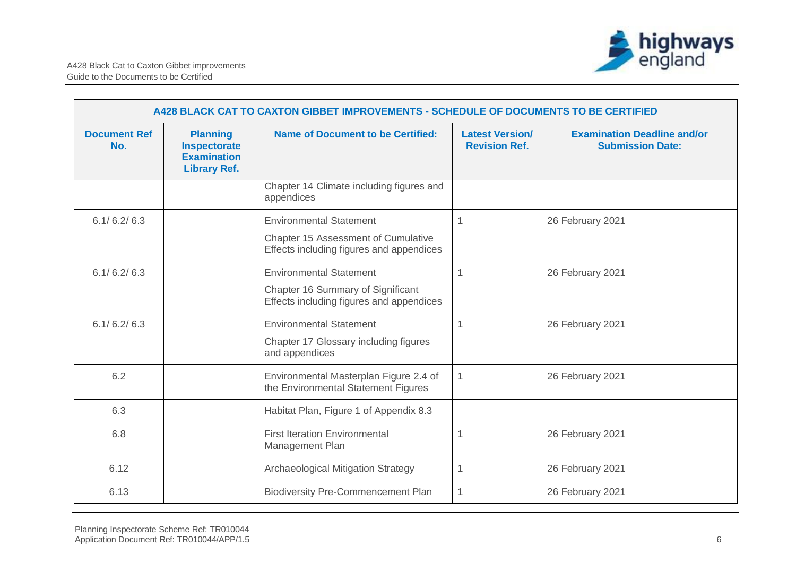

| A428 BLACK CAT TO CAXTON GIBBET IMPROVEMENTS - SCHEDULE OF DOCUMENTS TO BE CERTIFIED |                                                                              |                                                                                                                   |                                                |                                                               |  |
|--------------------------------------------------------------------------------------|------------------------------------------------------------------------------|-------------------------------------------------------------------------------------------------------------------|------------------------------------------------|---------------------------------------------------------------|--|
| <b>Document Ref</b><br>No.                                                           | <b>Planning</b><br>Inspectorate<br><b>Examination</b><br><b>Library Ref.</b> | <b>Name of Document to be Certified:</b>                                                                          | <b>Latest Version/</b><br><b>Revision Ref.</b> | <b>Examination Deadline and/or</b><br><b>Submission Date:</b> |  |
|                                                                                      |                                                                              | Chapter 14 Climate including figures and<br>appendices                                                            |                                                |                                                               |  |
| 6.1/6.2/6.3                                                                          |                                                                              | <b>Environmental Statement</b><br>Chapter 15 Assessment of Cumulative<br>Effects including figures and appendices | 1                                              | 26 February 2021                                              |  |
| 6.1/6.2/6.3                                                                          |                                                                              | <b>Environmental Statement</b><br>Chapter 16 Summary of Significant<br>Effects including figures and appendices   | $\mathbf{1}$                                   | 26 February 2021                                              |  |
| 6.1/6.2/6.3                                                                          |                                                                              | <b>Environmental Statement</b><br>Chapter 17 Glossary including figures<br>and appendices                         | $\mathbf 1$                                    | 26 February 2021                                              |  |
| 6.2                                                                                  |                                                                              | Environmental Masterplan Figure 2.4 of<br>the Environmental Statement Figures                                     | $\overline{1}$                                 | 26 February 2021                                              |  |
| 6.3                                                                                  |                                                                              | Habitat Plan, Figure 1 of Appendix 8.3                                                                            |                                                |                                                               |  |
| 6.8                                                                                  |                                                                              | <b>First Iteration Environmental</b><br>Management Plan                                                           | $\mathbf{1}$                                   | 26 February 2021                                              |  |
| 6.12                                                                                 |                                                                              | Archaeological Mitigation Strategy                                                                                | $\overline{1}$                                 | 26 February 2021                                              |  |
| 6.13                                                                                 |                                                                              | <b>Biodiversity Pre-Commencement Plan</b>                                                                         | $\mathbf 1$                                    | 26 February 2021                                              |  |